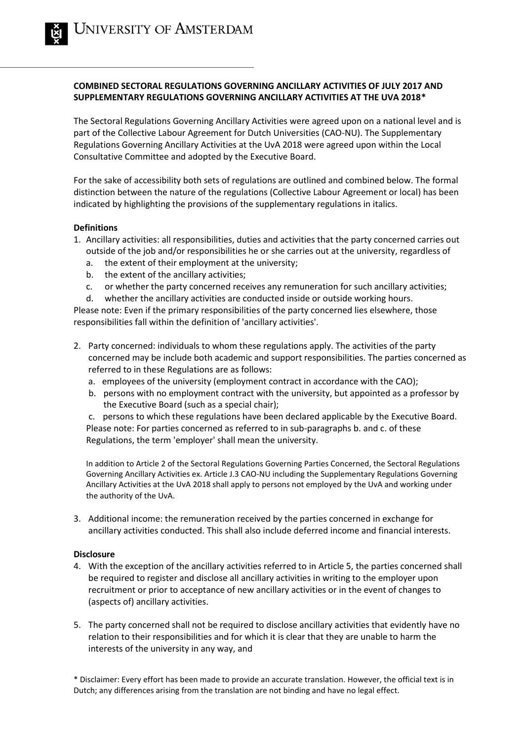# **COMBINED SECTORAL REGULATIONS GOVERNING ANCILLARY ACTIVITIES OF JULY 2017 AND SUPPLEMENTARY REGULATIONS GOVERNING ANCILLARY ACTIVITIES AT THE UVA 2018\***

The Sectoral Regulations Governing Ancillary Activities were agreed upon on a national level and is part of the Collective Labour Agreement for Dutch Universities (CAO-NU). The Supplementary Regulations Governing Ancillary Activities at the UvA 2018 were agreed upon within the Local Consultative Committee and adopted by the Executive Board.

For the sake of accessibility both sets of regulations are outlined and combined below. The formal distinction between the nature of the regulations (Collective Labour Agreement or local) has been indicated by highlighting the provisions of the supplementary regulations in italics.

## **Definitions**

- 1. Ancillary activities: all responsibilities, duties and activities that the party concerned carries out outside of the job and/or responsibilities he or she carries out at the university, regardless of
	- a. the extent of their employment at the university;
	- b. the extent of the ancillary activities;
	- c. or whether the party concerned receives any remuneration for such ancillary activities;
	- d. whether the ancillary activities are conducted inside or outside working hours.

Please note: Even if the primary responsibilities of the party concerned lies elsewhere, those responsibilities fall within the definition of 'ancillary activities'.

- 2. Party concerned: individuals to whom these regulations apply. The activities of the party concerned may be include both academic and support responsibilities. The parties concerned as referred to in these Regulations are as follows:
	- a. employees of the university (employment contract in accordance with the CAO);
	- b. persons with no employment contract with the university, but appointed as a professor by the Executive Board (such as a special chair);

c. persons to which these regulations have been declared applicable by the Executive Board. Please note: For parties concerned as referred to in sub-paragraphs b. and c. of these Regulations, the term 'employer' shall mean the university.

In addition to Article 2 of the Sectoral Regulations Governing Parties Concerned, the Sectoral Regulations Governing Ancillary Activities ex. Article J.3 CAO-NU including the Supplementary Regulations Governing Ancillary Activities at the UvA 2018 shall apply to persons not employed by the UvA and working under the authority of the UvA.

3. Additional income: the remuneration received by the parties concerned in exchange for ancillary activities conducted. This shall also include deferred income and financial interests.

## **Disclosure**

- 4. With the exception of the ancillary activities referred to in Article 5, the parties concerned shall be required to register and disclose all ancillary activities in writing to the employer upon recruitment or prior to acceptance of new ancillary activities or in the event of changes to (aspects of) ancillary activities.
- 5. The party concerned shall not be required to disclose ancillary activities that evidently have no relation to their responsibilities and for which it is clear that they are unable to harm the interests of the university in any way, and

\* Disclaimer: Every effort has been made to provide an accurate translation. However, the official text is in Dutch; any differences arising from the translation are not binding and have no legal effect.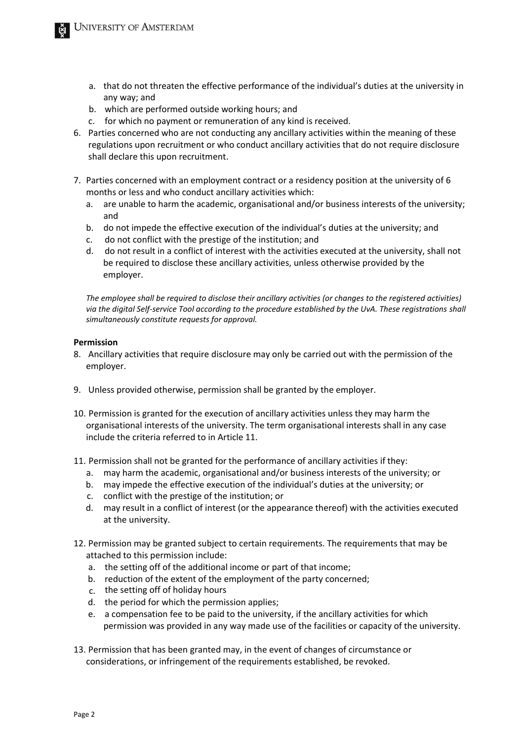- a. that do not threaten the effective performance of the individual's duties at the university in any way; and
- b. which are performed outside working hours; and
- c. for which no payment or remuneration of any kind is received.
- 6. Parties concerned who are not conducting any ancillary activities within the meaning of these regulations upon recruitment or who conduct ancillary activities that do not require disclosure shall declare this upon recruitment.
- 7. Parties concerned with an employment contract or a residency position at the university of 6 months or less and who conduct ancillary activities which:
	- a. are unable to harm the academic, organisational and/or business interests of the university; and
	- b. do not impede the effective execution of the individual's duties at the university; and
	- c. do not conflict with the prestige of the institution; and
	- d. do not result in a conflict of interest with the activities executed at the university, shall not be required to disclose these ancillary activities, unless otherwise provided by the employer.

*The employee shall be required to disclose their ancillary activities (or changes to the registered activities) via the digital Self-service Tool according to the procedure established by the UvA. These registrations shall simultaneously constitute requests for approval.* 

## **Permission**

- 8. Ancillary activities that require disclosure may only be carried out with the permission of the employer.
- 9. Unless provided otherwise, permission shall be granted by the employer.
- 10. Permission is granted for the execution of ancillary activities unless they may harm the organisational interests of the university. The term organisational interests shall in any case include the criteria referred to in Article 11.
- 11. Permission shall not be granted for the performance of ancillary activities if they:
	- a. may harm the academic, organisational and/or business interests of the university; or
	- b. may impede the effective execution of the individual's duties at the university; or
	- c. conflict with the prestige of the institution; or
	- d. may result in a conflict of interest (or the appearance thereof) with the activities executed at the university.
- 12. Permission may be granted subject to certain requirements. The requirements that may be attached to this permission include:
	- a. the setting off of the additional income or part of that income;
	- b. reduction of the extent of the employment of the party concerned;
	- c. the setting off of holiday hours
	- d. the period for which the permission applies;
	- e. a compensation fee to be paid to the university, if the ancillary activities for which permission was provided in any way made use of the facilities or capacity of the university.
- 13. Permission that has been granted may, in the event of changes of circumstance or considerations, or infringement of the requirements established, be revoked.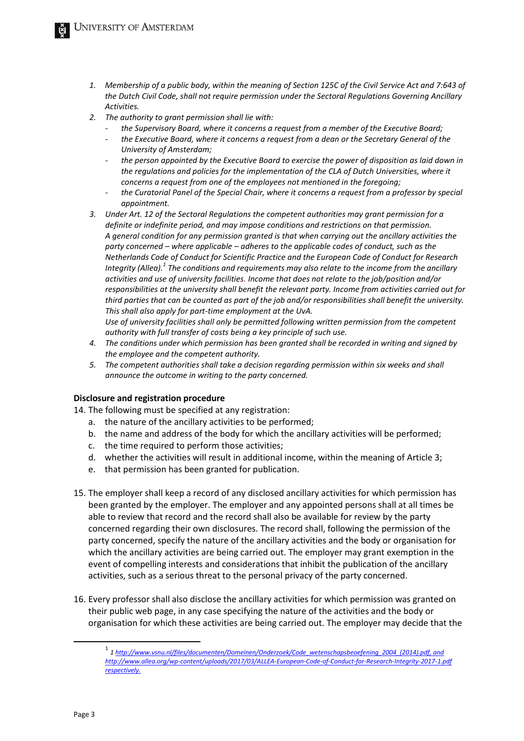- *1. Membership of a public body, within the meaning of Section 125C of the Civil Service Act and 7:643 of the Dutch Civil Code, shall not require permission under the Sectoral Regulations Governing Ancillary Activities.*
- *2. The authority to grant permission shall lie with:*
	- *the Supervisory Board, where it concerns a request from a member of the Executive Board;*
	- *the Executive Board, where it concerns a request from a dean or the Secretary General of the University of Amsterdam;*
	- *the person appointed by the Executive Board to exercise the power of disposition as laid down in the regulations and policies for the implementation of the CLA of Dutch Universities, where it concerns a request from one of the employees not mentioned in the foregoing;*
	- *the Curatorial Panel of the Special Chair, where it concerns a request from a professor by special appointment.*
- *3. Under Art. 12 of the Sectoral Regulations the competent authorities may grant permission for a definite or indefinite period, and may impose conditions and restrictions on that permission. A general condition for any permission granted is that when carrying out the ancillary activities the party concerned – where applicable – adheres to the applicable codes of conduct, such as the Netherlands Code of Conduct for Scientific Practice and the European Code of Conduct for Research Integrity (Allea).<sup>1</sup> The conditions and requirements may also relate to the income from the ancillary activities and use of university facilities. Income that does not relate to the job/position and/or responsibilities at the university shall benefit the relevant party. Income from activities carried out for third parties that can be counted as part of the job and/or responsibilities shall benefit the university. This shall also apply for part-time employment at the UvA.*

*Use of university facilities shall only be permitted following written permission from the competent authority with full transfer of costs being a key principle of such use.*

- *4. The conditions under which permission has been granted shall be recorded in writing and signed by the employee and the competent authority.*
- *5. The competent authorities shall take a decision regarding permission within six weeks and shall announce the outcome in writing to the party concerned.*

## **Disclosure and registration procedure**

14. The following must be specified at any registration:

- a. the nature of the ancillary activities to be performed;
- b. the name and address of the body for which the ancillary activities will be performed;
- c. the time required to perform those activities;
- d. whether the activities will result in additional income, within the meaning of Article 3;
- e. that permission has been granted for publication.
- 15. The employer shall keep a record of any disclosed ancillary activities for which permission has been granted by the employer. The employer and any appointed persons shall at all times be able to review that record and the record shall also be available for review by the party concerned regarding their own disclosures. The record shall, following the permission of the party concerned, specify the nature of the ancillary activities and the body or organisation for which the ancillary activities are being carried out. The employer may grant exemption in the event of compelling interests and considerations that inhibit the publication of the ancillary activities, such as a serious threat to the personal privacy of the party concerned.
- 16. Every professor shall also disclose the ancillary activities for which permission was granted on their public web page, in any case specifying the nature of the activities and the body or organisation for which these activities are being carried out. The employer may decide that the

<sup>1</sup> *[1 http://www.vsnu.nl/files/documenten/Domeinen/Onderzoek/Code\\_wetenschapsbeoefening\\_2004\\_\(2014\).pdf,](http://www.vsnu.nl/files/documenten/Domeinen/Onderzoek/Code_wetenschapsbeoefening_2004_(2014).pdf,) and <http://www.allea.org/wp-content/uploads/2017/03/ALLEA-European-Code-of-Conduct-for-Research-Integrity-2017-1.pdf> respectively.*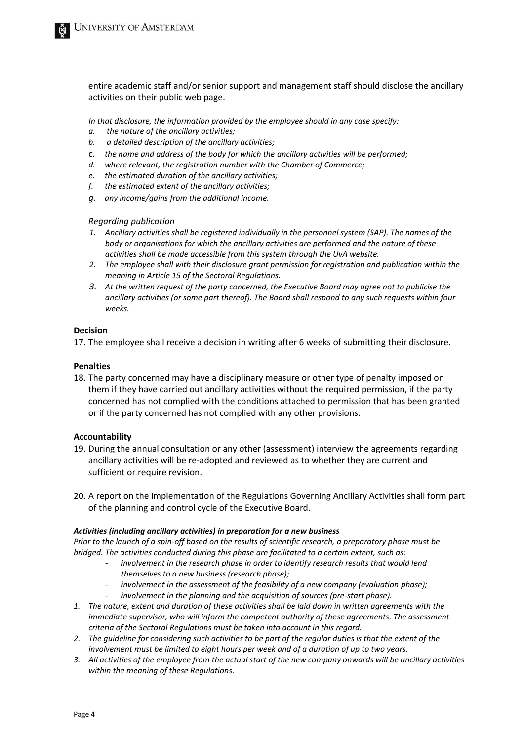entire academic staff and/or senior support and management staff should disclose the ancillary activities on their public web page.

*In that disclosure, the information provided by the employee should in any case specify:* 

- *a. the nature of the ancillary activities;*
- *b. a detailed description of the ancillary activities;*
- c. *the name and address of the body for which the ancillary activities will be performed;*
- *d. where relevant, the registration number with the Chamber of Commerce;*
- *e. the estimated duration of the ancillary activities;*
- *f. the estimated extent of the ancillary activities;*
- *g. any income/gains from the additional income.*

#### *Regarding publication*

- *1. Ancillary activities shall be registered individually in the personnel system (SAP). The names of the body or organisations for which the ancillary activities are performed and the nature of these activities shall be made accessible from this system through the UvA website.*
- *2. The employee shall with their disclosure grant permission for registration and publication within the meaning in Article 15 of the Sectoral Regulations.*
- *3. At the written request of the party concerned, the Executive Board may agree not to publicise the ancillary activities (or some part thereof). The Board shall respond to any such requests within four weeks.*

### **Decision**

17. The employee shall receive a decision in writing after 6 weeks of submitting their disclosure.

### **Penalties**

18. The party concerned may have a disciplinary measure or other type of penalty imposed on them if they have carried out ancillary activities without the required permission, if the party concerned has not complied with the conditions attached to permission that has been granted or if the party concerned has not complied with any other provisions.

## **Accountability**

- 19. During the annual consultation or any other (assessment) interview the agreements regarding ancillary activities will be re-adopted and reviewed as to whether they are current and sufficient or require revision.
- 20. A report on the implementation of the Regulations Governing Ancillary Activities shall form part of the planning and control cycle of the Executive Board.

#### *Activities (including ancillary activities) in preparation for a new business*

*Prior to the launch of a spin-off based on the results of scientific research, a preparatory phase must be bridged. The activities conducted during this phase are facilitated to a certain extent, such as:* 

- involvement in the research phase in order to identify research results that would lend *themselves to a new business (research phase);*
- involvement in the assessment of the feasibility of a new company (evaluation phase);
- involvement in the planning and the acquisition of sources (pre-start phase).
- *1. The nature, extent and duration of these activities shall be laid down in written agreements with the immediate supervisor, who will inform the competent authority of these agreements. The assessment criteria of the Sectoral Regulations must be taken into account in this regard.*
- *2. The guideline for considering such activities to be part of the regular duties is that the extent of the involvement must be limited to eight hours per week and of a duration of up to two years.*
- *3. All activities of the employee from the actual start of the new company onwards will be ancillary activities within the meaning of these Regulations.*